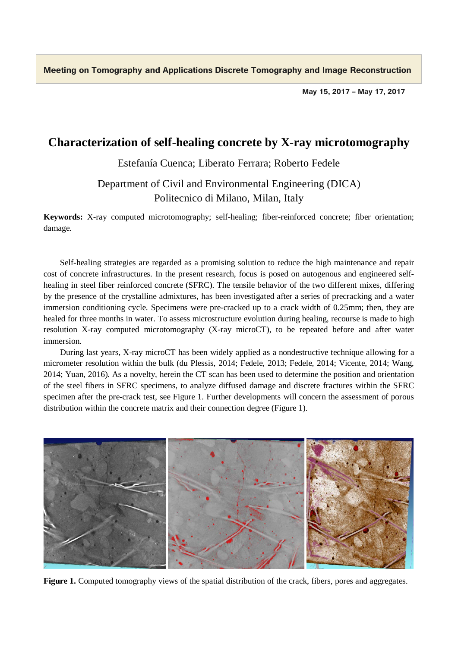**Meeting on Tomography and Applications Discrete Tomography and Image Reconstruction**

**May 15, 2017 – May 17, 2017**

## **Characterization of self-healing concrete by X-ray microtomography**

Estefanía Cuenca; Liberato Ferrara; Roberto Fedele

## Department of Civil and Environmental Engineering (DICA) Politecnico di Milano, Milan, Italy

**Keywords:** X-ray computed microtomography; self-healing; fiber-reinforced concrete; fiber orientation; damage.

Self-healing strategies are regarded as a promising solution to reduce the high maintenance and repair cost of concrete infrastructures. In the present research, focus is posed on autogenous and engineered selfhealing in steel fiber reinforced concrete (SFRC). The tensile behavior of the two different mixes, differing by the presence of the crystalline admixtures, has been investigated after a series of precracking and a water immersion conditioning cycle. Specimens were pre-cracked up to a crack width of 0.25mm; then, they are healed for three months in water. To assess microstructure evolution during healing, recourse is made to high resolution X-ray computed microtomography (X-ray microCT), to be repeated before and after water immersion.

During last years, X-ray microCT has been widely applied as a nondestructive technique allowing for a micrometer resolution within the bulk (du Plessis, 2014; Fedele, 2013; Fedele, 2014; Vicente, 2014; Wang, 2014; Yuan, 2016). As a novelty, herein the CT scan has been used to determine the position and orientation of the steel fibers in SFRC specimens, to analyze diffused damage and discrete fractures within the SFRC specimen after the pre-crack test, see Figure 1. Further developments will concern the assessment of porous distribution within the concrete matrix and their connection degree (Figure 1).



**Figure 1.** Computed tomography views of the spatial distribution of the crack, fibers, pores and aggregates.